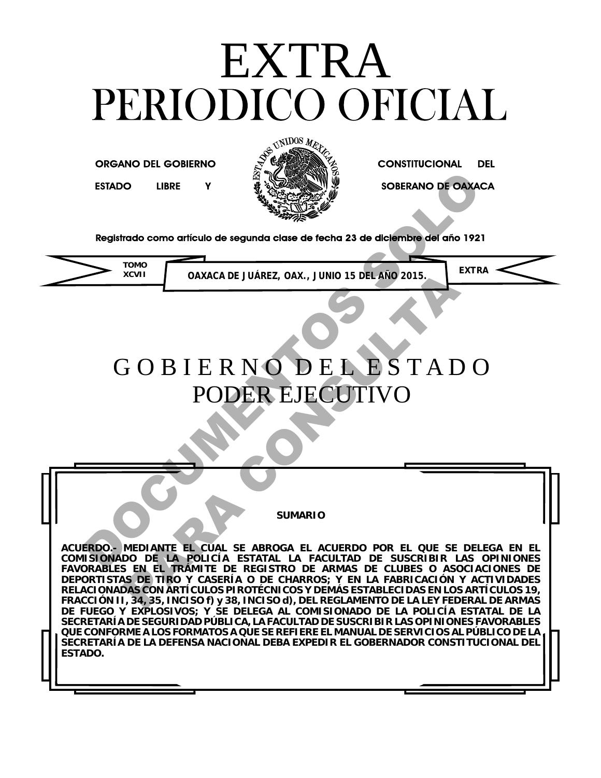# EXTRA<br>PERIODICO OFICIAL

**ORGANO DEL GOBIERNO** 



**CONSTITUCIONAL DEL** 



 **TOMO**<br> **OAXACA DE JUÁREZ, OAX., JUNIO 15 DEL AÑO 2015. 
<b>EXTRA** 



# G O B I E R N O D E L E S T A D O PODER EJECUTIVO ESTADO LIBRE Y<br>
Registrado como artículo de segunda clase de techa 23 de diciembre del año 1921<br>
TORA COUNTER DE LESTADO<br>
PODER EJECUTIVO<br>
PODER EJECUTIVO<br>
SUMARIO<br>
RESPONSE LA CUERO POR EL QUE SE DELES<br>
SUMARIO<br>
RESPONSE

**SUMARIO**

**ACUERDO.- MEDIANTE EL CUAL SE ABROGA EL ACUERDO POR EL QUE SE DELEGA EN EL COMISIONADO DE LA POLICÍA ESTATAL LA FACULTAD DE SUSCRIBIR LAS OPINIONES FAVORABLES EN EL TRÁMITE DE REGISTRO DE ARMAS DE CLUBES O ASOCIACIONES DE DEPORTISTAS DE TIRO Y CASERÍA O DE CHARROS; Y EN LA FABRICACIÓN Y ACTIVIDADES RELACIONADAS CON ARTÍCULOS PIROTÉCNICOS Y DEMÁS ESTABLECIDAS EN LOS ARTÍCULOS 19, FRACCIÓN II, 34, 35, INCISO f) y 38, INCISO d), DEL REGLAMENTO DE LA LEY FEDERAL DE ARMAS DE FUEGO Y EXPLOSIVOS; Y SE DELEGA AL COMISIONADO DE LA POLICÍA ESTATAL DE LA SECRETARÍA DE SEGURIDAD PÚBLICA, LA FACULTAD DE SUSCRIBIR LAS OPINIONES FAVORABLES QUE CONFORME A LOS FORMATOS A QUE SE REFIERE EL MANUAL DE SERVICIOS AL PÚBLICO DE LA SECRETARÍA DE LA DEFENSA NACIONAL DEBA EXPEDIR EL GOBERNADOR CONSTITUCIONAL DEL ESTADO.** XCVII<br>
SOBIERNODELEENSTAD<br>
PODEREJECUTIVO<br>
SUMARIO<br>
SUMARIO<br>
SUMARIO<br>
SUMARIO<br>
SUMARIO<br>
SUMARIO<br>
SUMARIO<br>
DE LA PRÓDICA ESTADA EL ACUERDO POR EL QUE SE<br>
DE LA PRÓDICA ESTADA DE CHUSES O ASO<br>
DE LA PRÓDICA ESTADA DE CHUSES